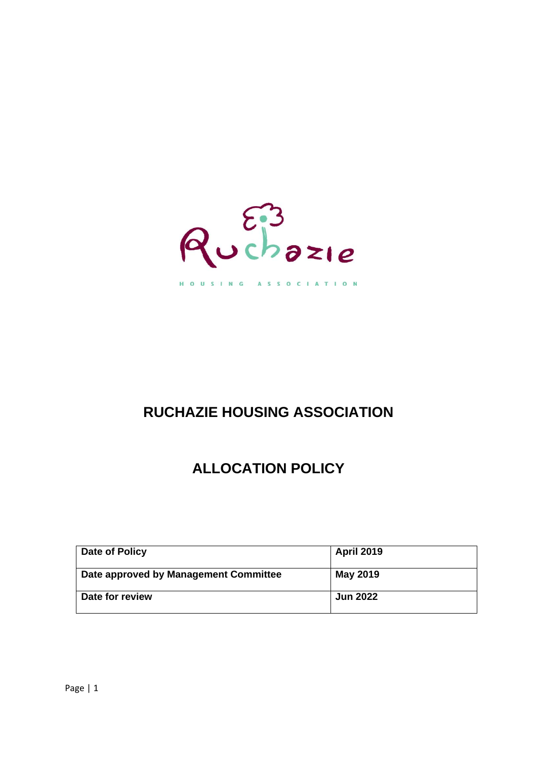

HOUSING ASSOCIATION

# **RUCHAZIE HOUSING ASSOCIATION**

# **ALLOCATION POLICY**

| Date of Policy                        | <b>April 2019</b> |
|---------------------------------------|-------------------|
| Date approved by Management Committee | <b>May 2019</b>   |
| Date for review                       | <b>Jun 2022</b>   |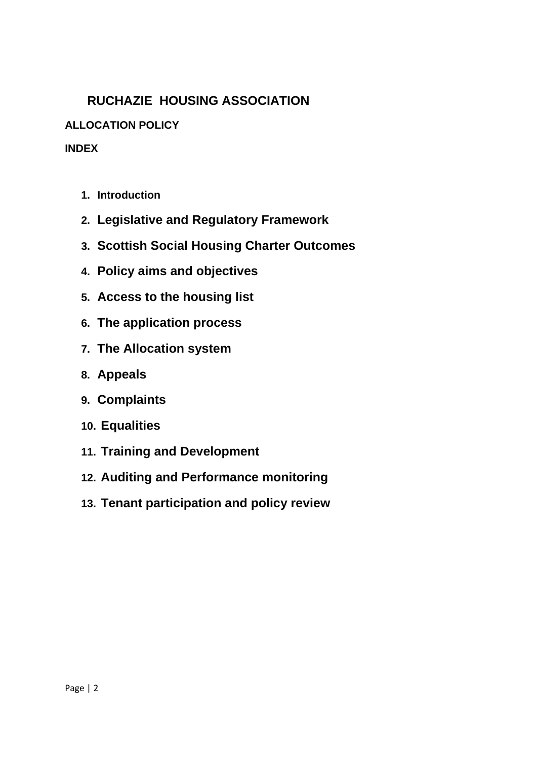## **RUCHAZIE HOUSING ASSOCIATION**

## **ALLOCATION POLICY**

## **INDEX**

- **1. Introduction**
- **2. Legislative and Regulatory Framework**
- **3. Scottish Social Housing Charter Outcomes**
- **4. Policy aims and objectives**
- **5. Access to the housing list**
- **6. The application process**
- **7. The Allocation system**
- **8. Appeals**
- **9. Complaints**
- **10. Equalities**
- **11. Training and Development**
- **12. Auditing and Performance monitoring**
- **13. Tenant participation and policy review**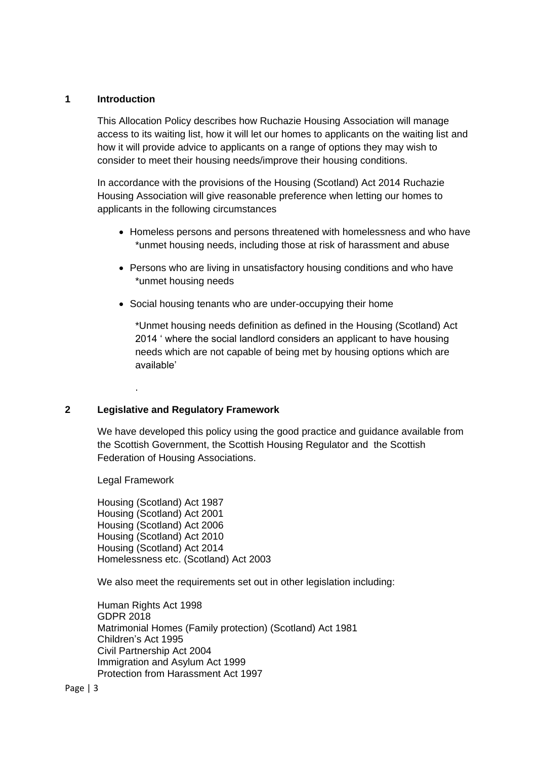## **1 Introduction**

This Allocation Policy describes how Ruchazie Housing Association will manage access to its waiting list, how it will let our homes to applicants on the waiting list and how it will provide advice to applicants on a range of options they may wish to consider to meet their housing needs/improve their housing conditions.

In accordance with the provisions of the Housing (Scotland) Act 2014 Ruchazie Housing Association will give reasonable preference when letting our homes to applicants in the following circumstances

- Homeless persons and persons threatened with homelessness and who have \*unmet housing needs, including those at risk of harassment and abuse
- Persons who are living in unsatisfactory housing conditions and who have \*unmet housing needs
- Social housing tenants who are under-occupying their home

\*Unmet housing needs definition as defined in the Housing (Scotland) Act 2014 ' where the social landlord considers an applicant to have housing needs which are not capable of being met by housing options which are available'

## **2 Legislative and Regulatory Framework**

We have developed this policy using the good practice and guidance available from the Scottish Government, the Scottish Housing Regulator and the Scottish Federation of Housing Associations.

Legal Framework

.

Housing (Scotland) Act 1987 Housing (Scotland) Act 2001 Housing (Scotland) Act 2006 Housing (Scotland) Act 2010 Housing (Scotland) Act 2014 Homelessness etc. (Scotland) Act 2003

We also meet the requirements set out in other legislation including:

Human Rights Act 1998 GDPR 2018 Matrimonial Homes (Family protection) (Scotland) Act 1981 Children's Act 1995 Civil Partnership Act 2004 Immigration and Asylum Act 1999 Protection from Harassment Act 1997

Page | 3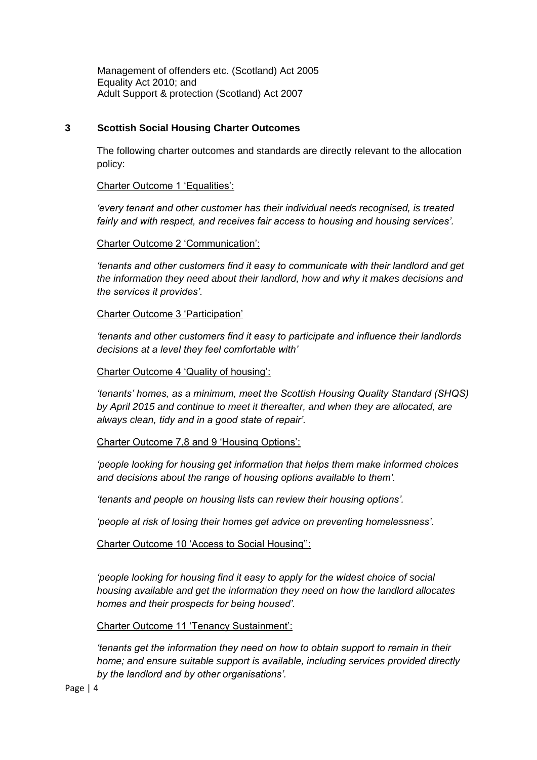Management of offenders etc. (Scotland) Act 2005 Equality Act 2010; and Adult Support & protection (Scotland) Act 2007

## **3 Scottish Social Housing Charter Outcomes**

The following charter outcomes and standards are directly relevant to the allocation policy:

Charter Outcome 1 'Equalities':

*'every tenant and other customer has their individual needs recognised, is treated fairly and with respect, and receives fair access to housing and housing services'.* 

Charter Outcome 2 'Communication':

*'tenants and other customers find it easy to communicate with their landlord and get the information they need about their landlord, how and why it makes decisions and the services it provides'.* 

Charter Outcome 3 'Participation'

*'tenants and other customers find it easy to participate and influence their landlords decisions at a level they feel comfortable with'*

Charter Outcome 4 'Quality of housing':

*'tenants' homes, as a minimum, meet the Scottish Housing Quality Standard (SHQS) by April 2015 and continue to meet it thereafter, and when they are allocated, are always clean, tidy and in a good state of repair'.* 

Charter Outcome 7,8 and 9 'Housing Options':

*'people looking for housing get information that helps them make informed choices and decisions about the range of housing options available to them'.*

*'tenants and people on housing lists can review their housing options'.*

*'people at risk of losing their homes get advice on preventing homelessness'.* 

Charter Outcome 10 'Access to Social Housing'':

*'people looking for housing find it easy to apply for the widest choice of social housing available and get the information they need on how the landlord allocates homes and their prospects for being housed'.* 

Charter Outcome 11 'Tenancy Sustainment':

*'tenants get the information they need on how to obtain support to remain in their home; and ensure suitable support is available, including services provided directly by the landlord and by other organisations'.*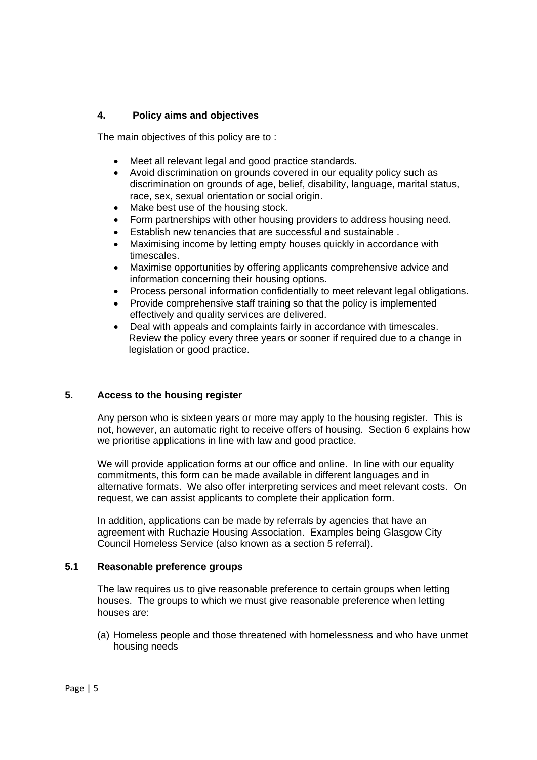## **4. Policy aims and objectives**

The main objectives of this policy are to :

- Meet all relevant legal and good practice standards.
- Avoid discrimination on grounds covered in our equality policy such as discrimination on grounds of age, belief, disability, language, marital status, race, sex, sexual orientation or social origin.
- Make best use of the housing stock.
- Form partnerships with other housing providers to address housing need.
- Establish new tenancies that are successful and sustainable .
- Maximising income by letting empty houses quickly in accordance with timescales.
- Maximise opportunities by offering applicants comprehensive advice and information concerning their housing options.
- Process personal information confidentially to meet relevant legal obligations.
- Provide comprehensive staff training so that the policy is implemented effectively and quality services are delivered.
- Deal with appeals and complaints fairly in accordance with timescales. Review the policy every three years or sooner if required due to a change in legislation or good practice.

## **5. Access to the housing register**

Any person who is sixteen years or more may apply to the housing register. This is not, however, an automatic right to receive offers of housing. Section 6 explains how we prioritise applications in line with law and good practice.

We will provide application forms at our office and online. In line with our equality commitments, this form can be made available in different languages and in alternative formats. We also offer interpreting services and meet relevant costs. On request, we can assist applicants to complete their application form.

In addition, applications can be made by referrals by agencies that have an agreement with Ruchazie Housing Association. Examples being Glasgow City Council Homeless Service (also known as a section 5 referral).

## **5.1 Reasonable preference groups**

The law requires us to give reasonable preference to certain groups when letting houses. The groups to which we must give reasonable preference when letting houses are:

(a) Homeless people and those threatened with homelessness and who have unmet housing needs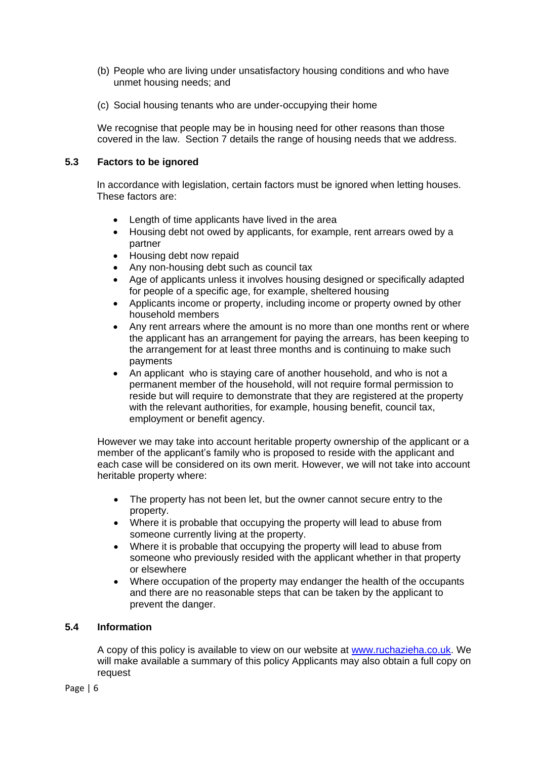- (b) People who are living under unsatisfactory housing conditions and who have unmet housing needs; and
- (c) Social housing tenants who are under-occupying their home

We recognise that people may be in housing need for other reasons than those covered in the law. Section 7 details the range of housing needs that we address.

#### **5.3 Factors to be ignored**

In accordance with legislation, certain factors must be ignored when letting houses. These factors are:

- Length of time applicants have lived in the area
- Housing debt not owed by applicants, for example, rent arrears owed by a partner
- Housing debt now repaid
- Any non-housing debt such as council tax
- Age of applicants unless it involves housing designed or specifically adapted for people of a specific age, for example, sheltered housing
- Applicants income or property, including income or property owned by other household members
- Any rent arrears where the amount is no more than one months rent or where the applicant has an arrangement for paying the arrears, has been keeping to the arrangement for at least three months and is continuing to make such payments
- An applicant who is staying care of another household, and who is not a permanent member of the household, will not require formal permission to reside but will require to demonstrate that they are registered at the property with the relevant authorities, for example, housing benefit, council tax, employment or benefit agency.

However we may take into account heritable property ownership of the applicant or a member of the applicant's family who is proposed to reside with the applicant and each case will be considered on its own merit. However, we will not take into account heritable property where:

- The property has not been let, but the owner cannot secure entry to the property.
- Where it is probable that occupying the property will lead to abuse from someone currently living at the property.
- Where it is probable that occupying the property will lead to abuse from someone who previously resided with the applicant whether in that property or elsewhere
- Where occupation of the property may endanger the health of the occupants and there are no reasonable steps that can be taken by the applicant to prevent the danger.

## **5.4 Information**

A copy of this policy is available to view on our website at [www.ruchazieha.co.uk.](http://www.ruchazieha.co.uk/) We will make available a summary of this policy Applicants may also obtain a full copy on request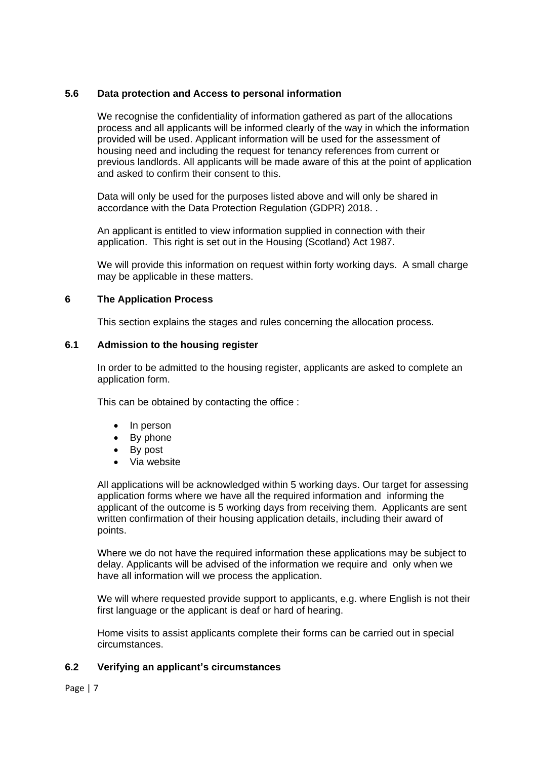## **5.6 Data protection and Access to personal information**

We recognise the confidentiality of information gathered as part of the allocations process and all applicants will be informed clearly of the way in which the information provided will be used. Applicant information will be used for the assessment of housing need and including the request for tenancy references from current or previous landlords. All applicants will be made aware of this at the point of application and asked to confirm their consent to this.

Data will only be used for the purposes listed above and will only be shared in accordance with the Data Protection Regulation (GDPR) 2018. .

An applicant is entitled to view information supplied in connection with their application. This right is set out in the Housing (Scotland) Act 1987.

We will provide this information on request within forty working days. A small charge may be applicable in these matters.

## **6 The Application Process**

This section explains the stages and rules concerning the allocation process.

#### **6.1 Admission to the housing register**

In order to be admitted to the housing register, applicants are asked to complete an application form.

This can be obtained by contacting the office :

- In person
- By phone
- By post
- Via website

All applications will be acknowledged within 5 working days. Our target for assessing application forms where we have all the required information and informing the applicant of the outcome is 5 working days from receiving them. Applicants are sent written confirmation of their housing application details, including their award of points.

Where we do not have the required information these applications may be subject to delay. Applicants will be advised of the information we require and only when we have all information will we process the application.

We will where requested provide support to applicants, e.g. where English is not their first language or the applicant is deaf or hard of hearing.

Home visits to assist applicants complete their forms can be carried out in special circumstances.

## **6.2 Verifying an applicant's circumstances**

Page | 7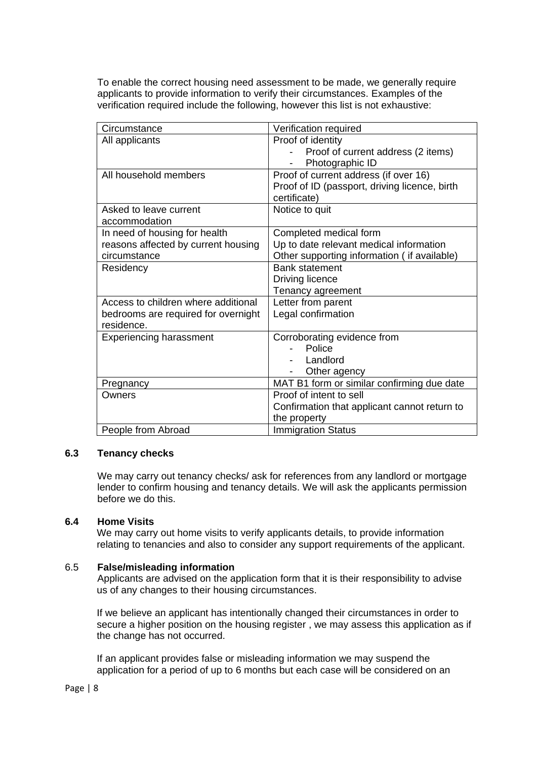To enable the correct housing need assessment to be made, we generally require applicants to provide information to verify their circumstances. Examples of the verification required include the following, however this list is not exhaustive:

| Circumstance                        | Verification required                         |
|-------------------------------------|-----------------------------------------------|
| All applicants                      | Proof of identity                             |
|                                     | Proof of current address (2 items)            |
|                                     | Photographic ID                               |
| All household members               | Proof of current address (if over 16)         |
|                                     | Proof of ID (passport, driving licence, birth |
|                                     | certificate)                                  |
| Asked to leave current              | Notice to quit                                |
| accommodation                       |                                               |
| In need of housing for health       | Completed medical form                        |
| reasons affected by current housing | Up to date relevant medical information       |
| circumstance                        | Other supporting information (if available)   |
| Residency                           | <b>Bank statement</b>                         |
|                                     | Driving licence                               |
|                                     | Tenancy agreement                             |
| Access to children where additional | Letter from parent                            |
| bedrooms are required for overnight | Legal confirmation                            |
| residence.                          |                                               |
| <b>Experiencing harassment</b>      | Corroborating evidence from                   |
|                                     | Police                                        |
|                                     | Landlord                                      |
|                                     | Other agency                                  |
| Pregnancy                           | MAT B1 form or similar confirming due date    |
| Owners                              | Proof of intent to sell                       |
|                                     | Confirmation that applicant cannot return to  |
|                                     | the property                                  |
| People from Abroad                  | <b>Immigration Status</b>                     |

## **6.3 Tenancy checks**

We may carry out tenancy checks/ ask for references from any landlord or mortgage lender to confirm housing and tenancy details. We will ask the applicants permission before we do this.

## **6.4 Home Visits**

We may carry out home visits to verify applicants details, to provide information relating to tenancies and also to consider any support requirements of the applicant.

#### 6.5 **False/misleading information**

Applicants are advised on the application form that it is their responsibility to advise us of any changes to their housing circumstances.

If we believe an applicant has intentionally changed their circumstances in order to secure a higher position on the housing register , we may assess this application as if the change has not occurred.

If an applicant provides false or misleading information we may suspend the application for a period of up to 6 months but each case will be considered on an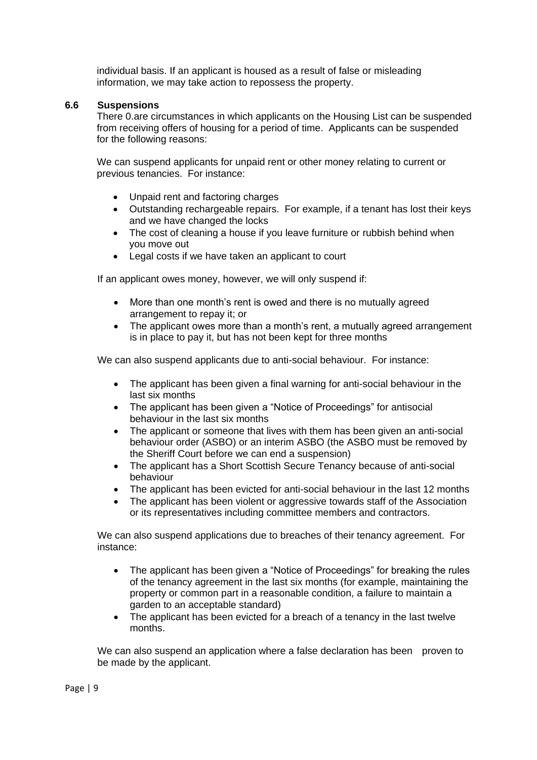individual basis. If an applicant is housed as a result of false or misleading information, we may take action to repossess the property.

### **6.6 Suspensions**

There 0.are circumstances in which applicants on the Housing List can be suspended from receiving offers of housing for a period of time. Applicants can be suspended for the following reasons:

We can suspend applicants for unpaid rent or other money relating to current or previous tenancies. For instance:

- Unpaid rent and factoring charges
- Outstanding rechargeable repairs. For example, if a tenant has lost their keys and we have changed the locks
- The cost of cleaning a house if you leave furniture or rubbish behind when you move out
- Legal costs if we have taken an applicant to court

If an applicant owes money, however, we will only suspend if:

- More than one month's rent is owed and there is no mutually agreed arrangement to repay it; or
- The applicant owes more than a month's rent, a mutually agreed arrangement is in place to pay it, but has not been kept for three months

We can also suspend applicants due to anti-social behaviour. For instance:

- The applicant has been given a final warning for anti-social behaviour in the last six months
- The applicant has been given a "Notice of Proceedings" for antisocial behaviour in the last six months
- The applicant or someone that lives with them has been given an anti-social behaviour order (ASBO) or an interim ASBO (the ASBO must be removed by the Sheriff Court before we can end a suspension)
- The applicant has a Short Scottish Secure Tenancy because of anti-social behaviour
- The applicant has been evicted for anti-social behaviour in the last 12 months
- The applicant has been violent or aggressive towards staff of the Association or its representatives including committee members and contractors.

We can also suspend applications due to breaches of their tenancy agreement. For instance:

- The applicant has been given a "Notice of Proceedings" for breaking the rules of the tenancy agreement in the last six months (for example, maintaining the property or common part in a reasonable condition, a failure to maintain a garden to an acceptable standard)
- The applicant has been evicted for a breach of a tenancy in the last twelve months.

We can also suspend an application where a false declaration has been proven to be made by the applicant.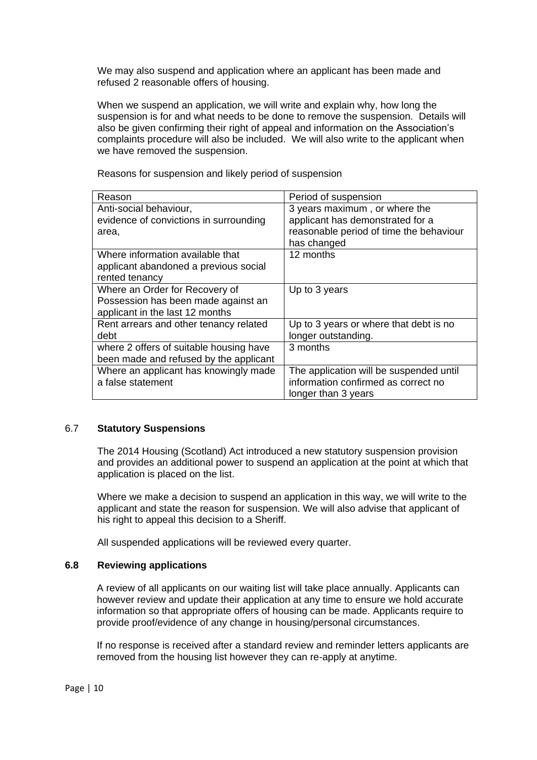We may also suspend and application where an applicant has been made and refused 2 reasonable offers of housing.

When we suspend an application, we will write and explain why, how long the suspension is for and what needs to be done to remove the suspension. Details will also be given confirming their right of appeal and information on the Association's complaints procedure will also be included. We will also write to the applicant when we have removed the suspension.

| Reason                                  | Period of suspension                    |
|-----------------------------------------|-----------------------------------------|
| Anti-social behaviour,                  | 3 years maximum, or where the           |
| evidence of convictions in surrounding  | applicant has demonstrated for a        |
| area,                                   | reasonable period of time the behaviour |
|                                         | has changed                             |
| Where information available that        | 12 months                               |
| applicant abandoned a previous social   |                                         |
| rented tenancy                          |                                         |
| Where an Order for Recovery of          | Up to 3 years                           |
| Possession has been made against an     |                                         |
| applicant in the last 12 months         |                                         |
| Rent arrears and other tenancy related  | Up to 3 years or where that debt is no  |
| debt                                    | longer outstanding.                     |
| where 2 offers of suitable housing have | 3 months                                |
| been made and refused by the applicant  |                                         |
| Where an applicant has knowingly made   | The application will be suspended until |
| a false statement                       | information confirmed as correct no     |
|                                         | longer than 3 years                     |

Reasons for suspension and likely period of suspension

#### 6.7 **Statutory Suspensions**

The 2014 Housing (Scotland) Act introduced a new statutory suspension provision and provides an additional power to suspend an application at the point at which that application is placed on the list.

Where we make a decision to suspend an application in this way, we will write to the applicant and state the reason for suspension. We will also advise that applicant of his right to appeal this decision to a Sheriff.

All suspended applications will be reviewed every quarter.

#### **6.8 Reviewing applications**

A review of all applicants on our waiting list will take place annually. Applicants can however review and update their application at any time to ensure we hold accurate information so that appropriate offers of housing can be made. Applicants require to provide proof/evidence of any change in housing/personal circumstances.

If no response is received after a standard review and reminder letters applicants are removed from the housing list however they can re-apply at anytime.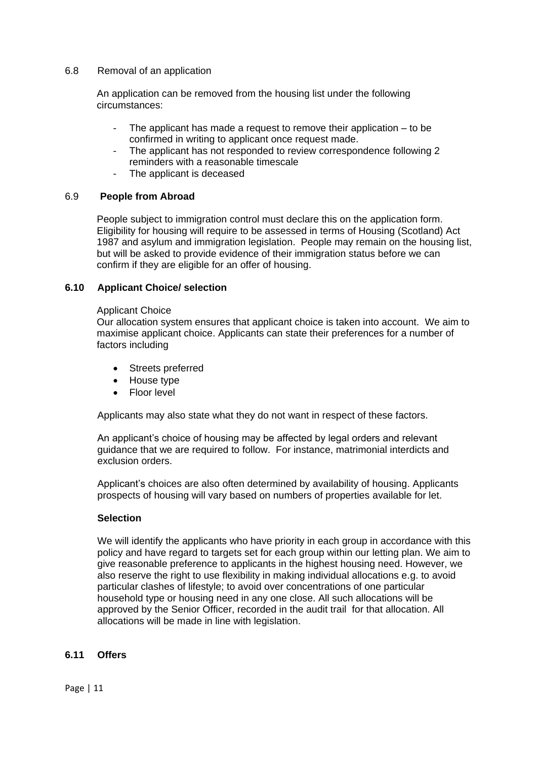#### 6.8 Removal of an application

An application can be removed from the housing list under the following circumstances:

- The applicant has made a request to remove their application  $-$  to be confirmed in writing to applicant once request made.
- The applicant has not responded to review correspondence following 2 reminders with a reasonable timescale
- The applicant is deceased

## 6.9 **People from Abroad**

People subject to immigration control must declare this on the application form. Eligibility for housing will require to be assessed in terms of Housing (Scotland) Act 1987 and asylum and immigration legislation. People may remain on the housing list, but will be asked to provide evidence of their immigration status before we can confirm if they are eligible for an offer of housing.

#### **6.10 Applicant Choice/ selection**

#### Applicant Choice

Our allocation system ensures that applicant choice is taken into account. We aim to maximise applicant choice. Applicants can state their preferences for a number of factors including

- Streets preferred
- House type
- Floor level

Applicants may also state what they do not want in respect of these factors.

An applicant's choice of housing may be affected by legal orders and relevant guidance that we are required to follow. For instance, matrimonial interdicts and exclusion orders.

Applicant's choices are also often determined by availability of housing. Applicants prospects of housing will vary based on numbers of properties available for let.

#### **Selection**

We will identify the applicants who have priority in each group in accordance with this policy and have regard to targets set for each group within our letting plan. We aim to give reasonable preference to applicants in the highest housing need. However, we also reserve the right to use flexibility in making individual allocations e.g. to avoid particular clashes of lifestyle; to avoid over concentrations of one particular household type or housing need in any one close. All such allocations will be approved by the Senior Officer, recorded in the audit trail for that allocation. All allocations will be made in line with legislation.

#### **6.11 Offers**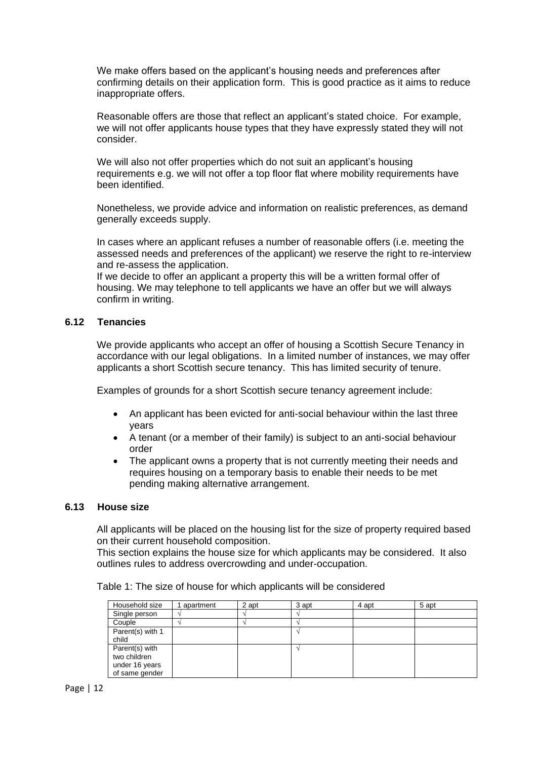We make offers based on the applicant's housing needs and preferences after confirming details on their application form. This is good practice as it aims to reduce inappropriate offers.

Reasonable offers are those that reflect an applicant's stated choice. For example, we will not offer applicants house types that they have expressly stated they will not consider.

We will also not offer properties which do not suit an applicant's housing requirements e.g. we will not offer a top floor flat where mobility requirements have been identified.

Nonetheless, we provide advice and information on realistic preferences, as demand generally exceeds supply.

In cases where an applicant refuses a number of reasonable offers (i.e. meeting the assessed needs and preferences of the applicant) we reserve the right to re-interview and re-assess the application.

If we decide to offer an applicant a property this will be a written formal offer of housing. We may telephone to tell applicants we have an offer but we will always confirm in writing.

#### **6.12 Tenancies**

We provide applicants who accept an offer of housing a Scottish Secure Tenancy in accordance with our legal obligations. In a limited number of instances, we may offer applicants a short Scottish secure tenancy. This has limited security of tenure.

Examples of grounds for a short Scottish secure tenancy agreement include:

- An applicant has been evicted for anti-social behaviour within the last three years
- A tenant (or a member of their family) is subject to an anti-social behaviour order
- The applicant owns a property that is not currently meeting their needs and requires housing on a temporary basis to enable their needs to be met pending making alternative arrangement.

#### **6.13 House size**

All applicants will be placed on the housing list for the size of property required based on their current household composition.

This section explains the house size for which applicants may be considered. It also outlines rules to address overcrowding and under-occupation.

| Household size                                                     | apartment | 2 apt | 3 apt | 4 apt | 5 apt |
|--------------------------------------------------------------------|-----------|-------|-------|-------|-------|
| Single person                                                      |           |       |       |       |       |
| Couple                                                             |           |       |       |       |       |
| Parent(s) with 1<br>child                                          |           |       |       |       |       |
| Parent(s) with<br>two children<br>under 16 years<br>of same gender |           |       |       |       |       |

Table 1: The size of house for which applicants will be considered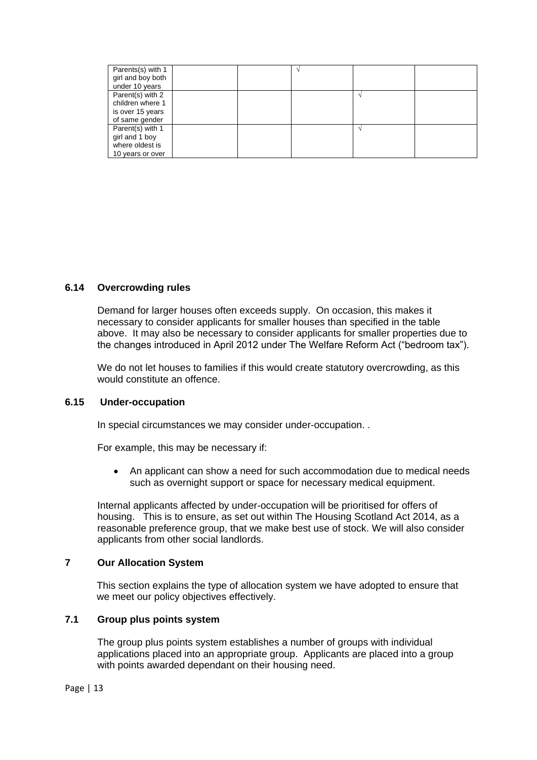| Parents(s) with 1<br>girl and boy both<br>under 10 years                   |  |  |  |
|----------------------------------------------------------------------------|--|--|--|
| Parent(s) with 2<br>children where 1<br>is over 15 years<br>of same gender |  |  |  |
| Parent(s) with 1<br>girl and 1 boy<br>where oldest is<br>10 years or over  |  |  |  |

## **6.14 Overcrowding rules**

Demand for larger houses often exceeds supply. On occasion, this makes it necessary to consider applicants for smaller houses than specified in the table above. It may also be necessary to consider applicants for smaller properties due to the changes introduced in April 2012 under The Welfare Reform Act ("bedroom tax").

We do not let houses to families if this would create statutory overcrowding, as this would constitute an offence.

#### **6.15 Under-occupation**

In special circumstances we may consider under-occupation..

For example, this may be necessary if:

 An applicant can show a need for such accommodation due to medical needs such as overnight support or space for necessary medical equipment.

Internal applicants affected by under-occupation will be prioritised for offers of housing. This is to ensure, as set out within The Housing Scotland Act 2014, as a reasonable preference group, that we make best use of stock. We will also consider applicants from other social landlords.

## **7 Our Allocation System**

This section explains the type of allocation system we have adopted to ensure that we meet our policy objectives effectively.

## **7.1 Group plus points system**

The group plus points system establishes a number of groups with individual applications placed into an appropriate group. Applicants are placed into a group with points awarded dependant on their housing need.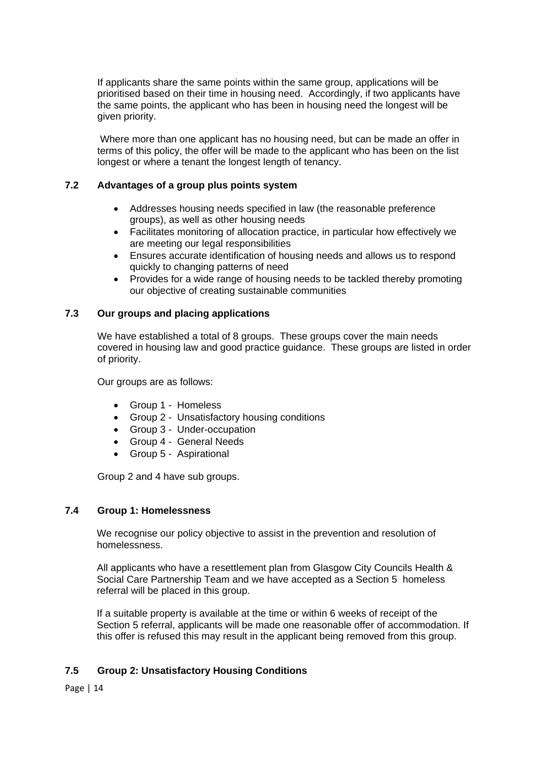If applicants share the same points within the same group, applications will be prioritised based on their time in housing need. Accordingly, if two applicants have the same points, the applicant who has been in housing need the longest will be given priority.

Where more than one applicant has no housing need, but can be made an offer in terms of this policy, the offer will be made to the applicant who has been on the list longest or where a tenant the longest length of tenancy.

## **7.2 Advantages of a group plus points system**

- Addresses housing needs specified in law (the reasonable preference groups), as well as other housing needs
- Facilitates monitoring of allocation practice, in particular how effectively we are meeting our legal responsibilities
- Ensures accurate identification of housing needs and allows us to respond quickly to changing patterns of need
- Provides for a wide range of housing needs to be tackled thereby promoting our objective of creating sustainable communities

## **7.3 Our groups and placing applications**

We have established a total of 8 groups. These groups cover the main needs covered in housing law and good practice guidance. These groups are listed in order of priority.

Our groups are as follows:

- Group 1 Homeless
- Group 2 Unsatisfactory housing conditions
- Group 3 Under-occupation
- Group 4 General Needs
- Group 5 Aspirational

Group 2 and 4 have sub groups.

## **7.4 Group 1: Homelessness**

We recognise our policy objective to assist in the prevention and resolution of homelessness.

All applicants who have a resettlement plan from Glasgow City Councils Health & Social Care Partnership Team and we have accepted as a Section 5 homeless referral will be placed in this group.

If a suitable property is available at the time or within 6 weeks of receipt of the Section 5 referral, applicants will be made one reasonable offer of accommodation. If this offer is refused this may result in the applicant being removed from this group.

## **7.5 Group 2: Unsatisfactory Housing Conditions**

Page | 14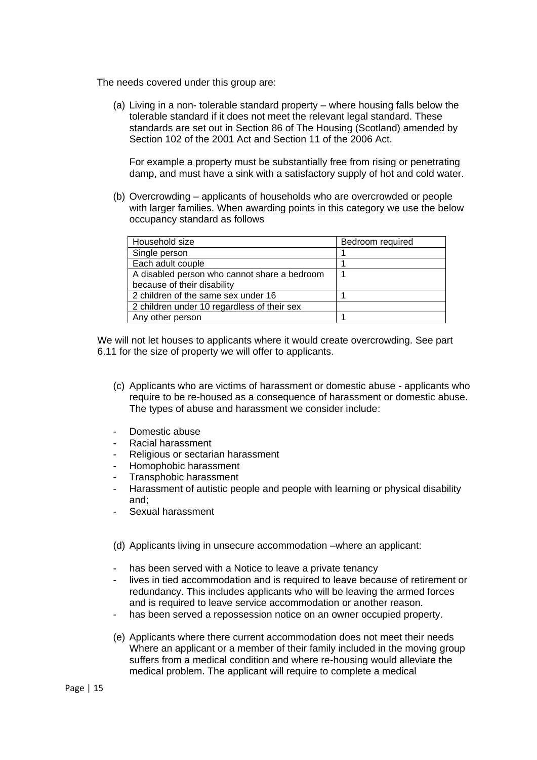The needs covered under this group are:

(a) Living in a non- tolerable standard property – where housing falls below the tolerable standard if it does not meet the relevant legal standard. These standards are set out in Section 86 of The Housing (Scotland) amended by Section 102 of the 2001 Act and Section 11 of the 2006 Act.

For example a property must be substantially free from rising or penetrating damp, and must have a sink with a satisfactory supply of hot and cold water.

(b) Overcrowding – applicants of households who are overcrowded or people with larger families. When awarding points in this category we use the below occupancy standard as follows

| Household size                               | Bedroom required |
|----------------------------------------------|------------------|
| Single person                                |                  |
| Each adult couple                            |                  |
| A disabled person who cannot share a bedroom |                  |
| because of their disability                  |                  |
| 2 children of the same sex under 16          |                  |
| 2 children under 10 regardless of their sex  |                  |
| Any other person                             |                  |

We will not let houses to applicants where it would create overcrowding. See part 6.11 for the size of property we will offer to applicants.

- (c) Applicants who are victims of harassment or domestic abuse applicants who require to be re-housed as a consequence of harassment or domestic abuse. The types of abuse and harassment we consider include:
- Domestic abuse
- Racial harassment
- Religious or sectarian harassment
- Homophobic harassment
- Transphobic harassment
- Harassment of autistic people and people with learning or physical disability and;
- Sexual harassment
- (d) Applicants living in unsecure accommodation –where an applicant:
- has been served with a Notice to leave a private tenancy
- lives in tied accommodation and is required to leave because of retirement or redundancy. This includes applicants who will be leaving the armed forces and is required to leave service accommodation or another reason.
- has been served a repossession notice on an owner occupied property.
- (e) Applicants where there current accommodation does not meet their needs Where an applicant or a member of their family included in the moving group suffers from a medical condition and where re-housing would alleviate the medical problem. The applicant will require to complete a medical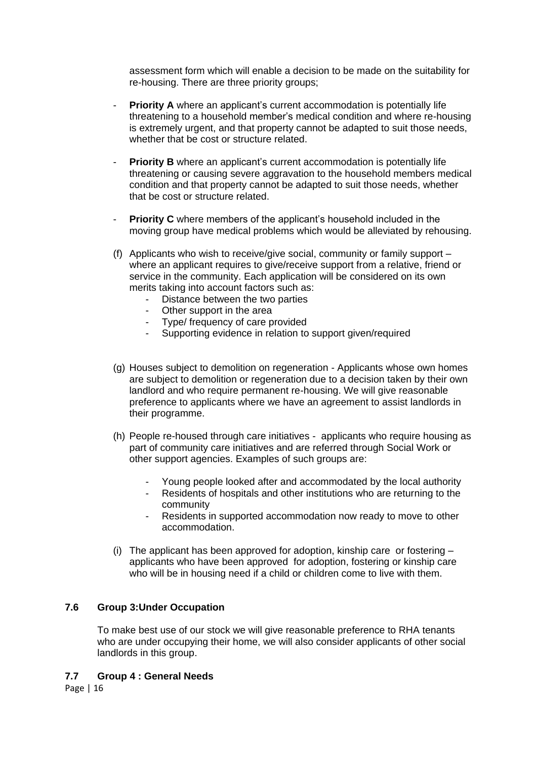assessment form which will enable a decision to be made on the suitability for re-housing. There are three priority groups;

- **Priority A** where an applicant's current accommodation is potentially life threatening to a household member's medical condition and where re-housing is extremely urgent, and that property cannot be adapted to suit those needs, whether that be cost or structure related.
- **Priority B** where an applicant's current accommodation is potentially life threatening or causing severe aggravation to the household members medical condition and that property cannot be adapted to suit those needs, whether that be cost or structure related.
- **Priority C** where members of the applicant's household included in the moving group have medical problems which would be alleviated by rehousing.
- (f) Applicants who wish to receive/give social, community or family support where an applicant requires to give/receive support from a relative, friend or service in the community. Each application will be considered on its own merits taking into account factors such as:
	- Distance between the two parties
	- Other support in the area
	- Type/ frequency of care provided
	- Supporting evidence in relation to support given/required
- (g) Houses subject to demolition on regeneration Applicants whose own homes are subject to demolition or regeneration due to a decision taken by their own landlord and who require permanent re-housing. We will give reasonable preference to applicants where we have an agreement to assist landlords in their programme.
- (h) People re-housed through care initiatives applicants who require housing as part of community care initiatives and are referred through Social Work or other support agencies. Examples of such groups are:
	- Young people looked after and accommodated by the local authority
	- Residents of hospitals and other institutions who are returning to the community
	- Residents in supported accommodation now ready to move to other accommodation.
- (i) The applicant has been approved for adoption, kinship care or fostering  $$ applicants who have been approved for adoption, fostering or kinship care who will be in housing need if a child or children come to live with them.

## **7.6 Group 3:Under Occupation**

To make best use of our stock we will give reasonable preference to RHA tenants who are under occupying their home, we will also consider applicants of other social landlords in this group.

#### **7.7 Group 4 : General Needs**

Page | 16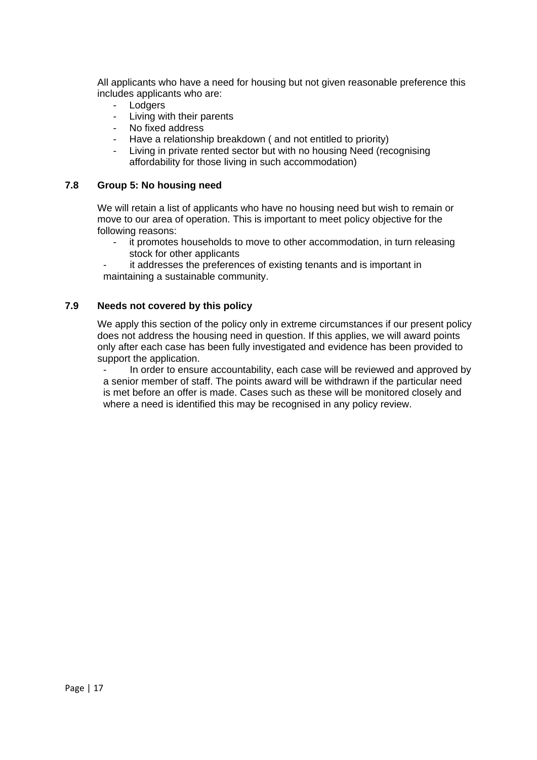All applicants who have a need for housing but not given reasonable preference this includes applicants who are:

- Lodgers
- Living with their parents
- No fixed address
- Have a relationship breakdown (and not entitled to priority)
- Living in private rented sector but with no housing Need (recognising affordability for those living in such accommodation)

#### **7.8 Group 5: No housing need**

We will retain a list of applicants who have no housing need but wish to remain or move to our area of operation. This is important to meet policy objective for the following reasons:

- it promotes households to move to other accommodation, in turn releasing stock for other applicants
- it addresses the preferences of existing tenants and is important in maintaining a sustainable community.

## **7.9 Needs not covered by this policy**

We apply this section of the policy only in extreme circumstances if our present policy does not address the housing need in question. If this applies, we will award points only after each case has been fully investigated and evidence has been provided to support the application.

- In order to ensure accountability, each case will be reviewed and approved by a senior member of staff. The points award will be withdrawn if the particular need is met before an offer is made. Cases such as these will be monitored closely and where a need is identified this may be recognised in any policy review.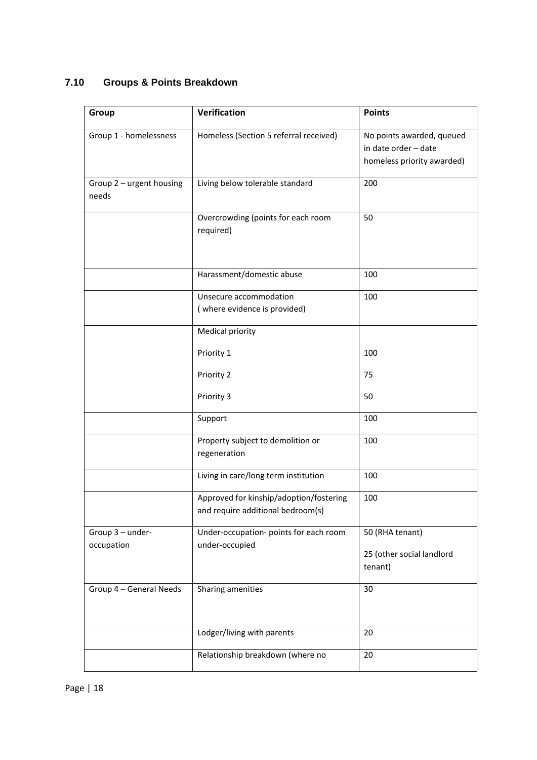## **7.10 Groups & Points Breakdown**

| Group                             | Verification                                                                 | <b>Points</b>                                                                   |
|-----------------------------------|------------------------------------------------------------------------------|---------------------------------------------------------------------------------|
| Group 1 - homelessness            | Homeless (Section 5 referral received)                                       | No points awarded, queued<br>in date order - date<br>homeless priority awarded) |
| Group 2 - urgent housing<br>needs | Living below tolerable standard                                              | 200                                                                             |
|                                   | Overcrowding (points for each room<br>required)                              | 50                                                                              |
|                                   | Harassment/domestic abuse                                                    | 100                                                                             |
|                                   | Unsecure accommodation<br>(where evidence is provided)                       | 100                                                                             |
|                                   | Medical priority                                                             |                                                                                 |
|                                   | Priority 1                                                                   | 100                                                                             |
|                                   | Priority 2                                                                   | 75                                                                              |
|                                   | Priority 3                                                                   | 50                                                                              |
|                                   | Support                                                                      | 100                                                                             |
|                                   | Property subject to demolition or<br>regeneration                            | 100                                                                             |
|                                   | Living in care/long term institution                                         | 100                                                                             |
|                                   | Approved for kinship/adoption/fostering<br>and require additional bedroom(s) | 100                                                                             |
| Group 3 - under-<br>occupation    | Under-occupation- points for each room<br>under-occupied                     | 50 (RHA tenant)<br>25 (other social landlord<br>tenant)                         |
| Group 4 - General Needs           | Sharing amenities                                                            | 30                                                                              |
|                                   | Lodger/living with parents                                                   | 20                                                                              |
|                                   | Relationship breakdown (where no                                             | 20                                                                              |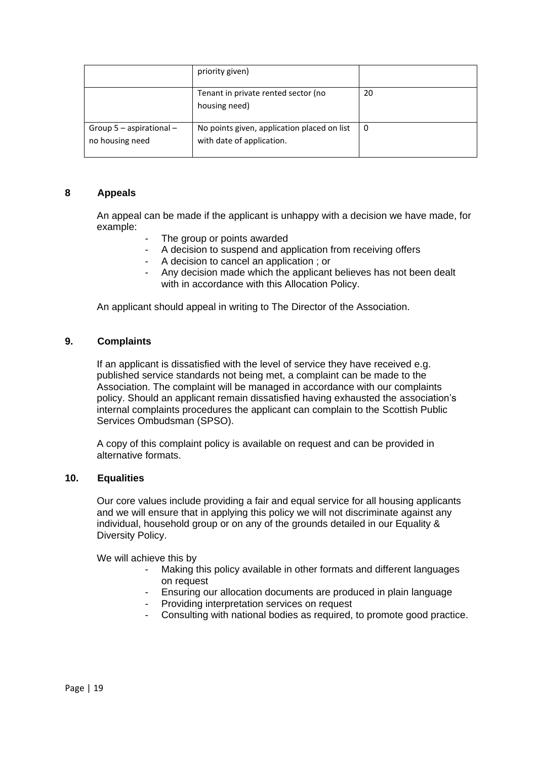|                                               | priority given)                                                          |    |
|-----------------------------------------------|--------------------------------------------------------------------------|----|
|                                               | Tenant in private rented sector (no<br>housing need)                     | 20 |
| Group $5$ – aspirational –<br>no housing need | No points given, application placed on list<br>with date of application. | 0  |

## **8 Appeals**

An appeal can be made if the applicant is unhappy with a decision we have made, for example:

- The group or points awarded
- A decision to suspend and application from receiving offers
- A decision to cancel an application ; or
- Any decision made which the applicant believes has not been dealt with in accordance with this Allocation Policy.

An applicant should appeal in writing to The Director of the Association.

### **9. Complaints**

If an applicant is dissatisfied with the level of service they have received e.g. published service standards not being met, a complaint can be made to the Association. The complaint will be managed in accordance with our complaints policy. Should an applicant remain dissatisfied having exhausted the association's internal complaints procedures the applicant can complain to the Scottish Public Services Ombudsman (SPSO).

A copy of this complaint policy is available on request and can be provided in alternative formats.

#### **10. Equalities**

Our core values include providing a fair and equal service for all housing applicants and we will ensure that in applying this policy we will not discriminate against any individual, household group or on any of the grounds detailed in our Equality & Diversity Policy.

We will achieve this by

- Making this policy available in other formats and different languages on request
- Ensuring our allocation documents are produced in plain language
- Providing interpretation services on request
- Consulting with national bodies as required, to promote good practice.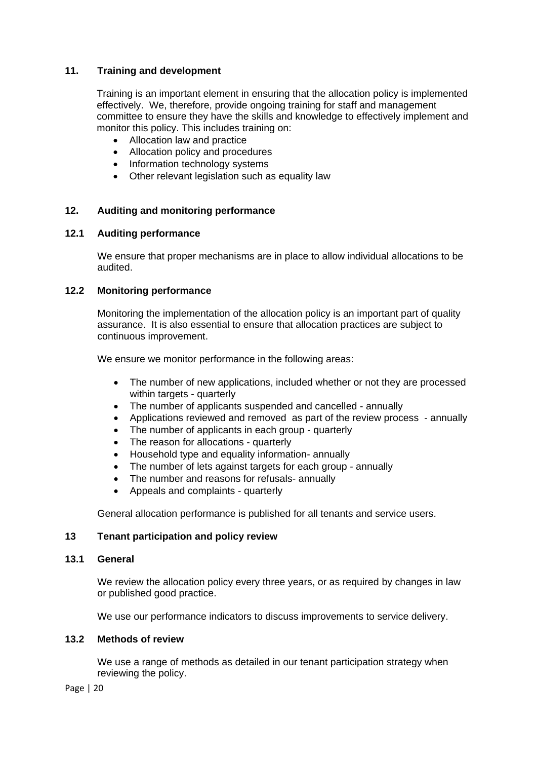## **11. Training and development**

Training is an important element in ensuring that the allocation policy is implemented effectively. We, therefore, provide ongoing training for staff and management committee to ensure they have the skills and knowledge to effectively implement and monitor this policy. This includes training on:

- Allocation law and practice
- Allocation policy and procedures
- Information technology systems
- Other relevant legislation such as equality law

## **12. Auditing and monitoring performance**

## **12.1 Auditing performance**

We ensure that proper mechanisms are in place to allow individual allocations to be audited.

## **12.2 Monitoring performance**

Monitoring the implementation of the allocation policy is an important part of quality assurance. It is also essential to ensure that allocation practices are subject to continuous improvement.

We ensure we monitor performance in the following areas:

- The number of new applications, included whether or not they are processed within targets - quarterly
- The number of applicants suspended and cancelled annually
- Applications reviewed and removed as part of the review process annually
- The number of applicants in each group quarterly
- The reason for allocations quarterly
- Household type and equality information- annually
- The number of lets against targets for each group annually
- The number and reasons for refusals- annually
- Appeals and complaints quarterly

General allocation performance is published for all tenants and service users.

## **13 Tenant participation and policy review**

#### **13.1 General**

We review the allocation policy every three years, or as required by changes in law or published good practice.

We use our performance indicators to discuss improvements to service delivery.

#### **13.2 Methods of review**

We use a range of methods as detailed in our tenant participation strategy when reviewing the policy.